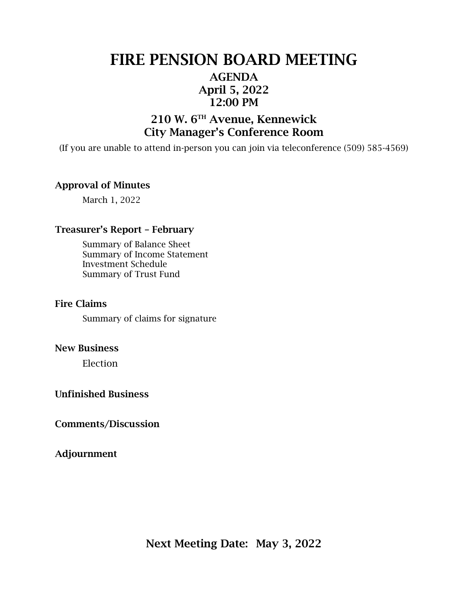## FIRE PENSION BOARD MEETING AGENDA April 5, 2022 12:00 PM

### 210 W. 6TH Avenue, Kennewick City Manager's Conference Room

(If you are unable to attend in-person you can join via teleconference (509) 585-4569)

#### Approval of Minutes

March 1, 2022

#### Treasurer's Report – February

Summary of Balance Sheet Summary of Income Statement Investment Schedule Summary of Trust Fund

#### Fire Claims

Summary of claims for signature

#### New Business

Election

#### Unfinished Business

Comments/Discussion

Adjournment

Next Meeting Date: May 3, 2022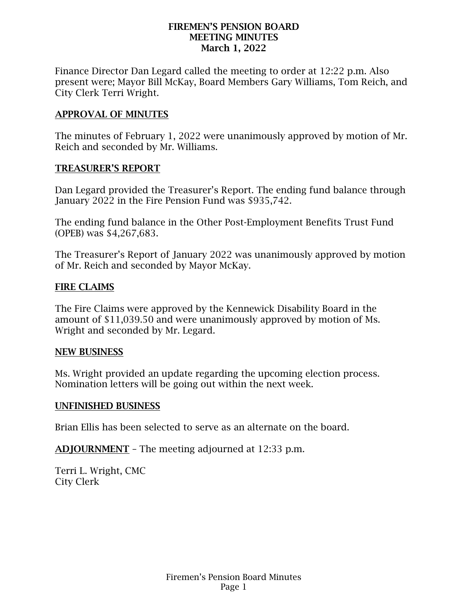#### FIREMEN'S PENSION BOARD MEETING MINUTES March 1, 2022

Finance Director Dan Legard called the meeting to order at 12:22 p.m. Also present were; Mayor Bill McKay, Board Members Gary Williams, Tom Reich, and City Clerk Terri Wright.

### APPROVAL OF MINUTES

The minutes of February 1, 2022 were unanimously approved by motion of Mr. Reich and seconded by Mr. Williams.

### TREASURER'S REPORT

Dan Legard provided the Treasurer's Report. The ending fund balance through January 2022 in the Fire Pension Fund was \$935,742.

The ending fund balance in the Other Post-Employment Benefits Trust Fund (OPEB) was \$4,267,683.

The Treasurer's Report of January 2022 was unanimously approved by motion of Mr. Reich and seconded by Mayor McKay.

### FIRE CLAIMS

The Fire Claims were approved by the Kennewick Disability Board in the amount of \$11,039.50 and were unanimously approved by motion of Ms. Wright and seconded by Mr. Legard.

#### NEW BUSINESS

Ms. Wright provided an update regarding the upcoming election process. Nomination letters will be going out within the next week.

#### UNFINISHED BUSINESS

Brian Ellis has been selected to serve as an alternate on the board.

ADJOURNMENT – The meeting adjourned at 12:33 p.m.

Terri L. Wright, CMC City Clerk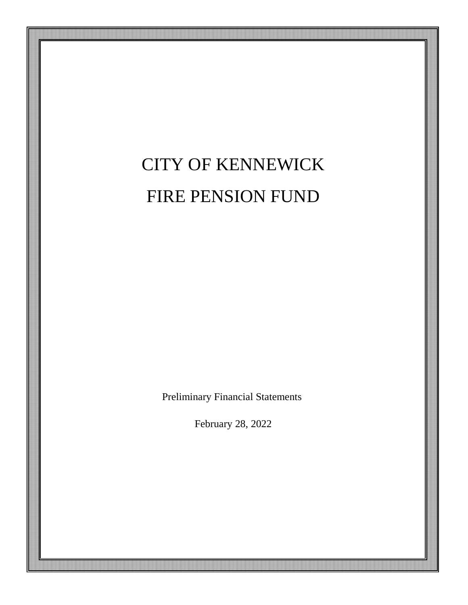# CITY OF KENNEWICK FIRE PENSION FUND

Preliminary Financial Statements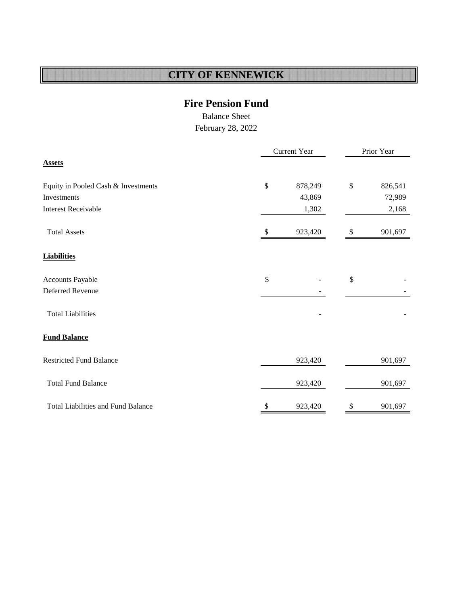### **Fire Pension Fund**

Balance Sheet

<span id="page-3-0"></span>

|                                           | Current Year  |               |         |  |  |
|-------------------------------------------|---------------|---------------|---------|--|--|
| <b>Assets</b>                             |               |               |         |  |  |
| Equity in Pooled Cash & Investments       | \$<br>878,249 | \$            | 826,541 |  |  |
| Investments                               | 43,869        |               | 72,989  |  |  |
| <b>Interest Receivable</b>                | 1,302         |               | 2,168   |  |  |
| <b>Total Assets</b>                       | \$<br>923,420 | \$            | 901,697 |  |  |
| <b>Liabilities</b>                        |               |               |         |  |  |
| Accounts Payable                          | \$            | $\mathcal{S}$ |         |  |  |
| Deferred Revenue                          |               |               | -       |  |  |
| <b>Total Liabilities</b>                  |               |               |         |  |  |
| <b>Fund Balance</b>                       |               |               |         |  |  |
| <b>Restricted Fund Balance</b>            | 923,420       |               | 901,697 |  |  |
| <b>Total Fund Balance</b>                 | 923,420       |               | 901,697 |  |  |
| <b>Total Liabilities and Fund Balance</b> | \$<br>923,420 | \$            | 901,697 |  |  |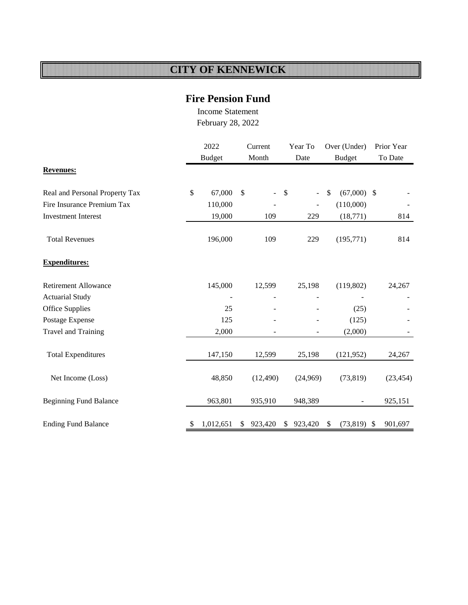### **Fire Pension Fund**

Income Statement February 28, 2022

|                                | 2022 |               | Current            |               | Year To                      |               | Over (Under)  |         | Prior Year |  |
|--------------------------------|------|---------------|--------------------|---------------|------------------------------|---------------|---------------|---------|------------|--|
|                                |      | <b>Budget</b> | Month              | Date          |                              | <b>Budget</b> |               | To Date |            |  |
| <b>Revenues:</b>               |      |               |                    |               |                              |               |               |         |            |  |
| Real and Personal Property Tax | \$   | 67,000        | \$<br>$\mathbf{r}$ | $\mathcal{S}$ | ÷,                           | \$            | $(67,000)$ \$ |         |            |  |
| Fire Insurance Premium Tax     |      | 110,000       |                    |               | $\qquad \qquad \blacksquare$ |               | (110,000)     |         |            |  |
| <b>Investment Interest</b>     |      | 19,000        | 109                |               | 229                          |               | (18, 771)     |         | 814        |  |
| <b>Total Revenues</b>          |      | 196,000       | 109                |               | 229                          |               | (195, 771)    |         | 814        |  |
| <b>Expenditures:</b>           |      |               |                    |               |                              |               |               |         |            |  |
| <b>Retirement Allowance</b>    |      | 145,000       | 12,599             |               | 25,198                       |               | (119, 802)    |         | 24,267     |  |
| <b>Actuarial Study</b>         |      |               |                    |               |                              |               |               |         |            |  |
| Office Supplies                |      | 25            |                    |               |                              |               | (25)          |         |            |  |
| Postage Expense                |      | 125           |                    |               |                              |               | (125)         |         |            |  |
| Travel and Training            |      | 2,000         |                    |               |                              |               | (2,000)       |         |            |  |
| <b>Total Expenditures</b>      |      | 147,150       | 12,599             |               | 25,198                       |               | (121, 952)    |         | 24,267     |  |
| Net Income (Loss)              |      | 48,850        | (12, 490)          |               | (24,969)                     |               | (73, 819)     |         | (23, 454)  |  |
| <b>Beginning Fund Balance</b>  |      | 963,801       | 935,910            |               | 948,389                      |               |               |         | 925,151    |  |
| <b>Ending Fund Balance</b>     | \$   | 1,012,651     | \$<br>923,420      | \$            | 923,420                      | \$            | $(73,819)$ \$ |         | 901,697    |  |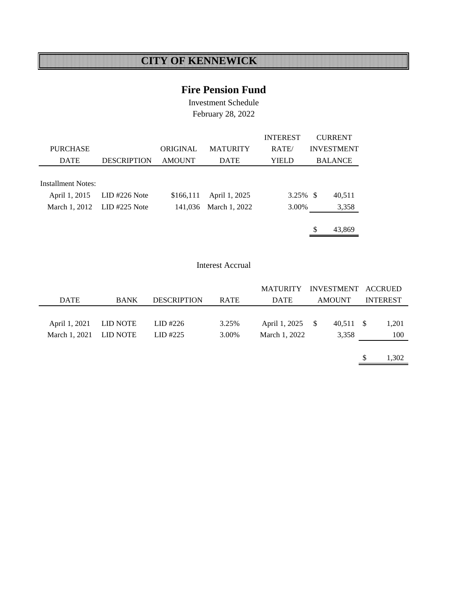### **Fire Pension Fund**

Investment Schedule February 28, 2022

|                           |                             |               |                 | <b>INTEREST</b> |      | <b>CURRENT</b>    |
|---------------------------|-----------------------------|---------------|-----------------|-----------------|------|-------------------|
| <b>PURCHASE</b>           |                             | ORIGINAL      | <b>MATURITY</b> | RATE/           |      | <b>INVESTMENT</b> |
| <b>DATE</b>               | <b>DESCRIPTION</b>          | <b>AMOUNT</b> | <b>DATE</b>     | YIELD           |      | <b>BALANCE</b>    |
|                           |                             |               |                 |                 |      |                   |
| <b>Installment Notes:</b> |                             |               |                 |                 |      |                   |
| April 1, 2015             | $LID$ #226 Note             | \$166,111     | April 1, 2025   | 3.25%           | - \$ | 40,511            |
|                           | March 1, 2012 LID #225 Note | 141,036       | March 1, 2022   | 3.00%           |      | 3,358             |
|                           |                             |               |                 |                 |      |                   |
|                           |                             |               |                 |                 | S    | 43.869            |

#### Interest Accrual

|                        |             |                    |             | MATURITY INVESTMENT ACCRUED |               |                 |
|------------------------|-------------|--------------------|-------------|-----------------------------|---------------|-----------------|
| <b>DATE</b>            | <b>BANK</b> | <b>DESCRIPTION</b> | <b>RATE</b> | <b>DATE</b>                 | <b>AMOUNT</b> | <b>INTEREST</b> |
|                        |             |                    |             |                             |               |                 |
| April 1, 2021          | LID NOTE    | LID #226           | 3.25%       | April 1, 2025 \$            | 40.511 \$     | 1,201           |
| March 1, 2021 LID NOTE |             | LID#225            | 3.00%       | March 1, 2022               | 3,358         | 100             |
|                        |             |                    |             |                             |               |                 |

 $$ 1,302$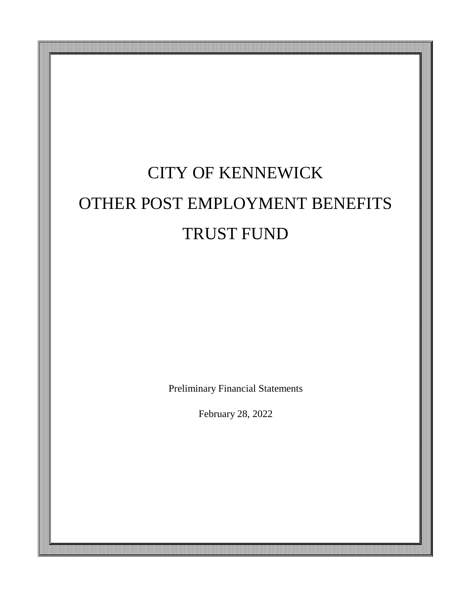# CITY OF KENNEWICK OTHER POST EMPLOYMENT BENEFITS TRUST FUND

Preliminary Financial Statements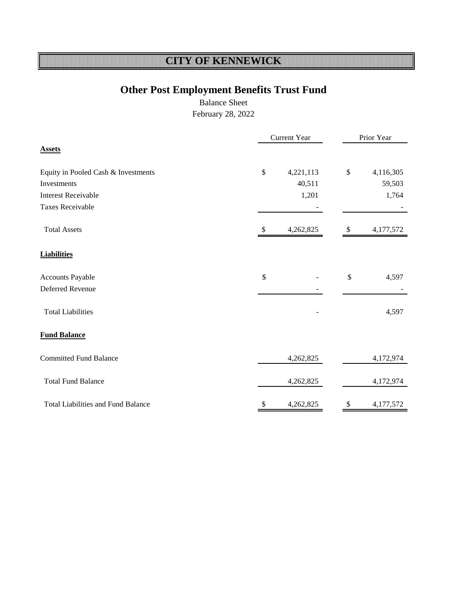### **Other Post Employment Benefits Trust Fund**

Balance Sheet

|                                           | <b>Current Year</b> |           | Prior Year    |           |  |  |
|-------------------------------------------|---------------------|-----------|---------------|-----------|--|--|
| <b>Assets</b>                             |                     |           |               |           |  |  |
| Equity in Pooled Cash & Investments       | $\$$                | 4,221,113 | $\mathcal{S}$ | 4,116,305 |  |  |
| Investments                               |                     | 40,511    |               | 59,503    |  |  |
| <b>Interest Receivable</b>                |                     | 1,201     |               | 1,764     |  |  |
| <b>Taxes Receivable</b>                   |                     |           |               |           |  |  |
| <b>Total Assets</b>                       |                     | 4,262,825 |               | 4,177,572 |  |  |
| <b>Liabilities</b>                        |                     |           |               |           |  |  |
| Accounts Payable                          | \$                  |           | \$            | 4,597     |  |  |
| Deferred Revenue                          |                     |           |               |           |  |  |
| <b>Total Liabilities</b>                  |                     |           |               | 4,597     |  |  |
| <b>Fund Balance</b>                       |                     |           |               |           |  |  |
| <b>Committed Fund Balance</b>             |                     | 4,262,825 |               | 4,172,974 |  |  |
| <b>Total Fund Balance</b>                 |                     | 4,262,825 |               | 4,172,974 |  |  |
| <b>Total Liabilities and Fund Balance</b> | \$                  | 4,262,825 | \$            | 4,177,572 |  |  |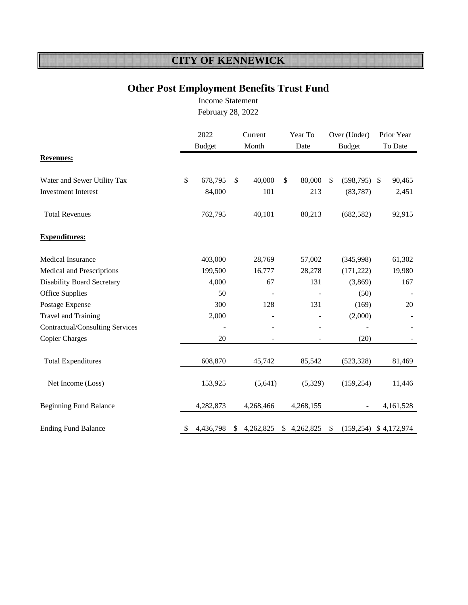### **Other Post Employment Benefits Trust Fund**

Income Statement [February 28, 2022](#page-3-0)

|                                   | 2022<br><b>Budget</b> |           | Current<br>Month |           | Year To<br>Date |             | Over (Under)<br><b>Budget</b> |                          | Prior Year<br>To Date |           |
|-----------------------------------|-----------------------|-----------|------------------|-----------|-----------------|-------------|-------------------------------|--------------------------|-----------------------|-----------|
| <b>Revenues:</b>                  |                       |           |                  |           |                 |             |                               |                          |                       |           |
| Water and Sewer Utility Tax       | $\mathbb{S}$          | 678,795   | \$               | 40,000    | \$              | 80,000      | \$                            | $(598, 795)$ \$          |                       | 90,465    |
| <b>Investment Interest</b>        |                       | 84,000    |                  | 101       |                 | 213         |                               | (83, 787)                |                       | 2,451     |
| <b>Total Revenues</b>             |                       | 762,795   |                  | 40,101    |                 | 80,213      |                               | (682, 582)               |                       | 92,915    |
| <b>Expenditures:</b>              |                       |           |                  |           |                 |             |                               |                          |                       |           |
| <b>Medical Insurance</b>          |                       | 403,000   |                  | 28,769    |                 | 57,002      |                               | (345,998)                |                       | 61,302    |
| Medical and Prescriptions         |                       | 199,500   |                  | 16,777    |                 | 28,278      |                               | (171, 222)               |                       | 19,980    |
| <b>Disability Board Secretary</b> |                       | 4,000     |                  | 67        |                 | 131         |                               | (3,869)                  |                       | 167       |
| <b>Office Supplies</b>            |                       | 50        |                  |           |                 |             |                               | (50)                     |                       |           |
| Postage Expense                   |                       | 300       |                  | 128       |                 | 131         |                               | (169)                    |                       | 20        |
| Travel and Training               |                       | 2,000     |                  |           |                 |             |                               | (2,000)                  |                       |           |
| Contractual/Consulting Services   |                       |           |                  |           |                 | ÷,          |                               |                          |                       |           |
| <b>Copier Charges</b>             |                       | 20        |                  |           |                 |             |                               | (20)                     |                       |           |
| <b>Total Expenditures</b>         |                       | 608,870   |                  | 45,742    |                 | 85,542      |                               | (523, 328)               |                       | 81,469    |
| Net Income (Loss)                 |                       | 153,925   |                  | (5,641)   |                 | (5,329)     |                               | (159, 254)               |                       | 11,446    |
| <b>Beginning Fund Balance</b>     |                       | 4,282,873 |                  | 4,268,466 |                 | 4,268,155   |                               |                          |                       | 4,161,528 |
| <b>Ending Fund Balance</b>        | \$                    | 4,436,798 | S                | 4,262,825 |                 | \$4,262,825 | <sup>\$</sup>                 | $(159,254)$ \$ 4,172,974 |                       |           |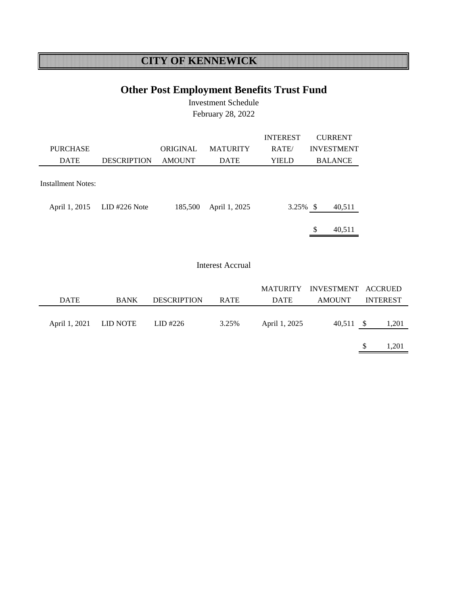### **Other Post Employment Benefits Trust Fund**

Investment Schedule February 28, 2022

|                           |                    |               |                 | <b>INTEREST</b> | <b>CURRENT</b>    |
|---------------------------|--------------------|---------------|-----------------|-----------------|-------------------|
| <b>PURCHASE</b>           |                    | ORIGINAL      | <b>MATURITY</b> | RATE/           | <b>INVESTMENT</b> |
| <b>DATE</b>               | <b>DESCRIPTION</b> | <b>AMOUNT</b> | <b>DATE</b>     | YIELD           | <b>BALANCE</b>    |
|                           |                    |               |                 |                 |                   |
| <b>Installment Notes:</b> |                    |               |                 |                 |                   |
|                           |                    |               |                 |                 |                   |
| April 1, 2015             | $LID$ #226 Note    | 185,500       | April 1, 2025   | $3.25\%$ \$     | 40,511            |
|                           |                    |               |                 |                 |                   |
|                           |                    |               |                 |                 | \$<br>40,511      |

#### Interest Accrual

|                        |             |                    |             |               | MATURITY INVESTMENT ACCRUED |                 |
|------------------------|-------------|--------------------|-------------|---------------|-----------------------------|-----------------|
| <b>DATE</b>            | <b>BANK</b> | <b>DESCRIPTION</b> | <b>RATE</b> | <b>DATE</b>   | AMOUNT                      | <b>INTEREST</b> |
| April 1, 2021 LID NOTE |             | LID #226           | 3.25%       | April 1, 2025 | $40,511$ \$                 | 1,201           |
|                        |             |                    |             |               |                             | 1,201           |